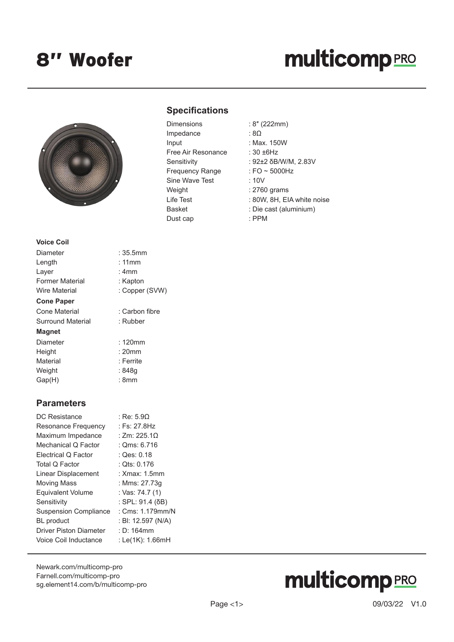### 8'' Woofer

## **multicomp**PRO



#### **Specifications**

| <b>Dimensions</b>      | : 8" (222mm)      |
|------------------------|-------------------|
| Impedance              | : 8 $\Omega$      |
| Input                  | : Max. 150W       |
| Free Air Resonance     | : $30 \pm 6$ Hz   |
| Sensitivity            | : $92\pm2$ δB/W/  |
| <b>Frequency Range</b> | : FO $\sim$ 5000H |
| Sine Wave Test         | :10V              |
| Weight                 | : 2760 grams      |
| Life Test              | : 80W, 8H, EI     |
| <b>Basket</b>          | : Die cast (alu   |
| Dust cap               | : PPM             |

(SVW)

- $:8\Omega$
- : Max. 150W
- $e$  : 30  $\pm$ 6Hz
	- : 92±2 δB/W/M, 2.83V
	- : FO  $\sim$  5000Hz
	- $: 10V$
	- $: 2760$  grams
	- : 80W, 8H, EIA white noise
	- : Die cast (aluminium)
	- : PPM

| Voice Coil        |                |
|-------------------|----------------|
| Diameter          | :35.5mm        |
| Length            | : 11mm         |
| Layer             | : 4mm          |
| Former Material   | : Kapton       |
| Wire Material     | : Copper (SVV  |
| <b>Cone Paper</b> |                |
| Cone Material     | : Carbon fibre |
| Surround Material | : Rubber       |
| Magnet            |                |
| Diameter          | : 120mm        |
| Height            | $: 20$ mm      |
| Material          | : Ferrite      |
| Weight            | : 848q         |
| Gap(H)            | : 8mm          |
|                   |                |

#### **Parameters**

| DC Resistance                 | : Re: 5.90         |
|-------------------------------|--------------------|
| Resonance Frequency           | : Fs: 27.8Hz       |
| Maximum Impedance             | : 7m: 225.10       |
| Mechanical Q Factor           | : Qms: 6.716       |
| Electrical Q Factor           | : Qes: 0.18        |
| Total Q Factor                | : Ots: 0.176       |
| Linear Displacement           | : Xmax: 1.5mm      |
| <b>Moving Mass</b>            | : Mms: 27.73q      |
| <b>Equivalent Volume</b>      | : Vas: 74.7 (1)    |
| Sensitivity                   | : SPL: 91.4 (δB)   |
| <b>Suspension Compliance</b>  | : Cms: 1.179mm/N   |
| <b>BL</b> product             | : BI: 12.597 (N/A) |
| <b>Driver Piston Diameter</b> | $: D: 164$ mm      |
| Voice Coil Inductance         | : Le(1K): 1.66mH   |
|                               |                    |

[Newark.com/multicomp-](https://www.newark.com/multicomp-pro)pro [Farnell.com/multicomp](https://www.farnell.com/multicomp-pro)-pro [sg.element14.com/b/multicomp-pro](https://sg.element14.com/b/multicomp-pro)

# **multicomp**PRO